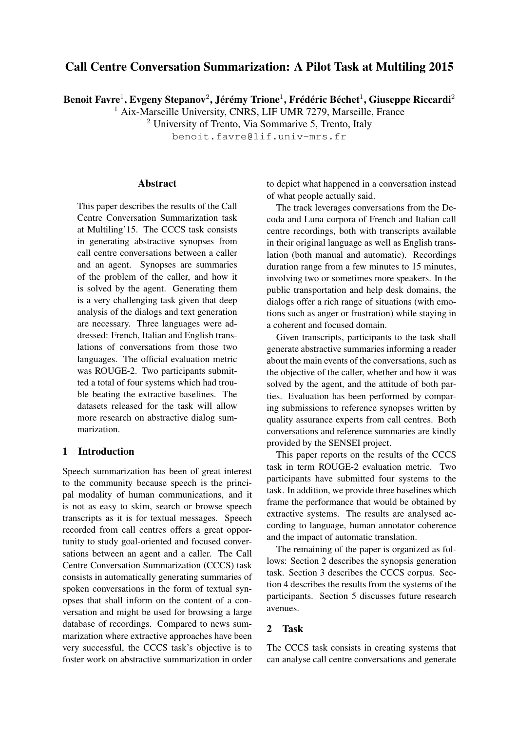# Call Centre Conversation Summarization: A Pilot Task at Multiling 2015

Benoit Favre<sup>1</sup>, Evgeny Stepanov<sup>2</sup>, Jérémy Trione<sup>1</sup>, Frédéric Béchet<sup>1</sup>, Giuseppe Riccardi<sup>2</sup>

<sup>1</sup> Aix-Marseille University, CNRS, LIF UMR 7279, Marseille, France

<sup>2</sup> University of Trento, Via Sommarive 5, Trento, Italy

benoit.favre@lif.univ-mrs.fr

#### **Abstract**

This paper describes the results of the Call Centre Conversation Summarization task at Multiling'15. The CCCS task consists in generating abstractive synopses from call centre conversations between a caller and an agent. Synopses are summaries of the problem of the caller, and how it is solved by the agent. Generating them is a very challenging task given that deep analysis of the dialogs and text generation are necessary. Three languages were addressed: French, Italian and English translations of conversations from those two languages. The official evaluation metric was ROUGE-2. Two participants submitted a total of four systems which had trouble beating the extractive baselines. The datasets released for the task will allow more research on abstractive dialog summarization.

### 1 Introduction

Speech summarization has been of great interest to the community because speech is the principal modality of human communications, and it is not as easy to skim, search or browse speech transcripts as it is for textual messages. Speech recorded from call centres offers a great opportunity to study goal-oriented and focused conversations between an agent and a caller. The Call Centre Conversation Summarization (CCCS) task consists in automatically generating summaries of spoken conversations in the form of textual synopses that shall inform on the content of a conversation and might be used for browsing a large database of recordings. Compared to news summarization where extractive approaches have been very successful, the CCCS task's objective is to foster work on abstractive summarization in order to depict what happened in a conversation instead of what people actually said.

The track leverages conversations from the Decoda and Luna corpora of French and Italian call centre recordings, both with transcripts available in their original language as well as English translation (both manual and automatic). Recordings duration range from a few minutes to 15 minutes, involving two or sometimes more speakers. In the public transportation and help desk domains, the dialogs offer a rich range of situations (with emotions such as anger or frustration) while staying in a coherent and focused domain.

Given transcripts, participants to the task shall generate abstractive summaries informing a reader about the main events of the conversations, such as the objective of the caller, whether and how it was solved by the agent, and the attitude of both parties. Evaluation has been performed by comparing submissions to reference synopses written by quality assurance experts from call centres. Both conversations and reference summaries are kindly provided by the SENSEI project.

This paper reports on the results of the CCCS task in term ROUGE-2 evaluation metric. Two participants have submitted four systems to the task. In addition, we provide three baselines which frame the performance that would be obtained by extractive systems. The results are analysed according to language, human annotator coherence and the impact of automatic translation.

The remaining of the paper is organized as follows: Section 2 describes the synopsis generation task. Section 3 describes the CCCS corpus. Section 4 describes the results from the systems of the participants. Section 5 discusses future research avenues.

### 2 Task

The CCCS task consists in creating systems that can analyse call centre conversations and generate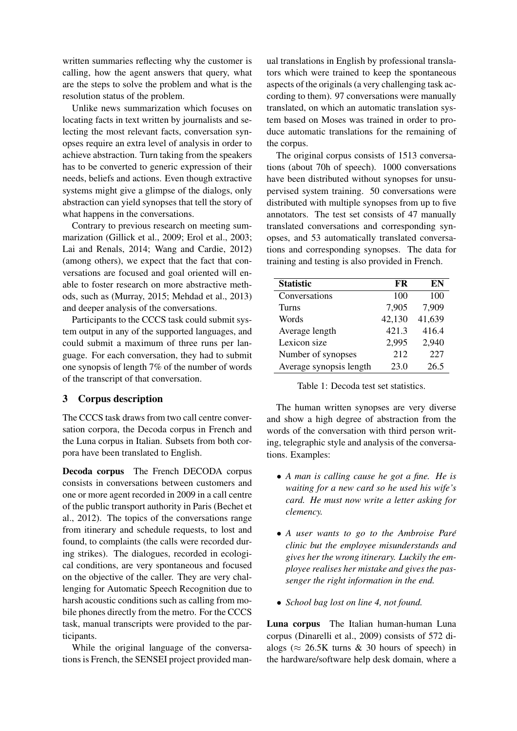written summaries reflecting why the customer is calling, how the agent answers that query, what are the steps to solve the problem and what is the resolution status of the problem.

Unlike news summarization which focuses on locating facts in text written by journalists and selecting the most relevant facts, conversation synopses require an extra level of analysis in order to achieve abstraction. Turn taking from the speakers has to be converted to generic expression of their needs, beliefs and actions. Even though extractive systems might give a glimpse of the dialogs, only abstraction can yield synopses that tell the story of what happens in the conversations.

Contrary to previous research on meeting summarization (Gillick et al., 2009; Erol et al., 2003; Lai and Renals, 2014; Wang and Cardie, 2012) (among others), we expect that the fact that conversations are focused and goal oriented will enable to foster research on more abstractive methods, such as (Murray, 2015; Mehdad et al., 2013) and deeper analysis of the conversations.

Participants to the CCCS task could submit system output in any of the supported languages, and could submit a maximum of three runs per language. For each conversation, they had to submit one synopsis of length 7% of the number of words of the transcript of that conversation.

## 3 Corpus description

The CCCS task draws from two call centre conversation corpora, the Decoda corpus in French and the Luna corpus in Italian. Subsets from both corpora have been translated to English.

Decoda corpus The French DECODA corpus consists in conversations between customers and one or more agent recorded in 2009 in a call centre of the public transport authority in Paris (Bechet et al., 2012). The topics of the conversations range from itinerary and schedule requests, to lost and found, to complaints (the calls were recorded during strikes). The dialogues, recorded in ecological conditions, are very spontaneous and focused on the objective of the caller. They are very challenging for Automatic Speech Recognition due to harsh acoustic conditions such as calling from mobile phones directly from the metro. For the CCCS task, manual transcripts were provided to the participants.

While the original language of the conversations is French, the SENSEI project provided man-

ual translations in English by professional translators which were trained to keep the spontaneous aspects of the originals (a very challenging task according to them). 97 conversations were manually translated, on which an automatic translation system based on Moses was trained in order to produce automatic translations for the remaining of the corpus.

The original corpus consists of 1513 conversations (about 70h of speech). 1000 conversations have been distributed without synopses for unsupervised system training. 50 conversations were distributed with multiple synopses from up to five annotators. The test set consists of 47 manually translated conversations and corresponding synopses, and 53 automatically translated conversations and corresponding synopses. The data for training and testing is also provided in French.

| <b>Statistic</b>        | FR     | EN     |
|-------------------------|--------|--------|
| Conversations           | 100    | 100    |
| Turns                   | 7,905  | 7,909  |
| Words                   | 42,130 | 41,639 |
| Average length          | 421.3  | 416.4  |
| Lexicon size            | 2,995  | 2,940  |
| Number of synopses      | 212    | 227    |
| Average synopsis length | 23.0   | 26.5   |

Table 1: Decoda test set statistics.

The human written synopses are very diverse and show a high degree of abstraction from the words of the conversation with third person writing, telegraphic style and analysis of the conversations. Examples:

- *A man is calling cause he got a fine. He is waiting for a new card so he used his wife's card. He must now write a letter asking for clemency.*
- *A user wants to go to the Ambroise Pare´ clinic but the employee misunderstands and gives her the wrong itinerary. Luckily the employee realises her mistake and gives the passenger the right information in the end.*
- *School bag lost on line 4, not found.*

Luna corpus The Italian human-human Luna corpus (Dinarelli et al., 2009) consists of 572 dialogs ( $\approx$  26.5K turns & 30 hours of speech) in the hardware/software help desk domain, where a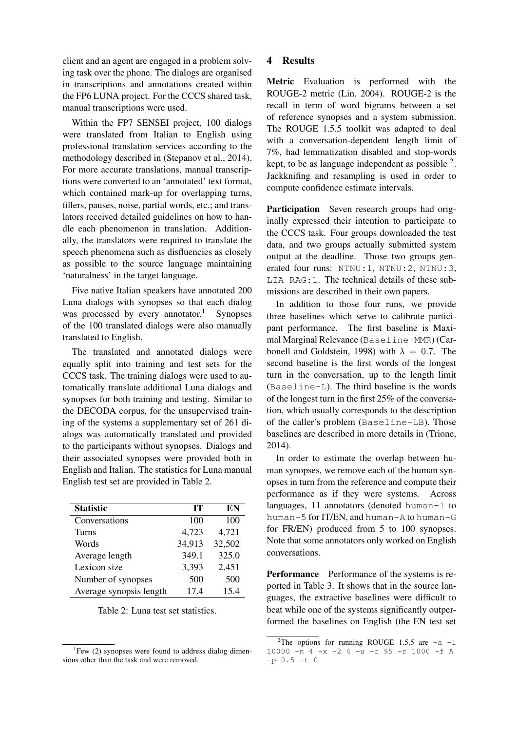client and an agent are engaged in a problem solving task over the phone. The dialogs are organised in transcriptions and annotations created within the FP6 LUNA project. For the CCCS shared task, manual transcriptions were used.

Within the FP7 SENSEI project, 100 dialogs were translated from Italian to English using professional translation services according to the methodology described in (Stepanov et al., 2014). For more accurate translations, manual transcriptions were converted to an 'annotated' text format, which contained mark-up for overlapping turns, fillers, pauses, noise, partial words, etc.; and translators received detailed guidelines on how to handle each phenomenon in translation. Additionally, the translators were required to translate the speech phenomena such as disfluencies as closely as possible to the source language maintaining 'naturalness' in the target language.

Five native Italian speakers have annotated 200 Luna dialogs with synopses so that each dialog was processed by every annotator.<sup>1</sup> Synopses of the 100 translated dialogs were also manually translated to English.

The translated and annotated dialogs were equally split into training and test sets for the CCCS task. The training dialogs were used to automatically translate additional Luna dialogs and synopses for both training and testing. Similar to the DECODA corpus, for the unsupervised training of the systems a supplementary set of 261 dialogs was automatically translated and provided to the participants without synopses. Dialogs and their associated synopses were provided both in English and Italian. The statistics for Luna manual English test set are provided in Table 2.

| <b>Statistic</b>        | IТ     | EN     |
|-------------------------|--------|--------|
| Conversations           | 100    | 100    |
| Turns                   | 4,723  | 4,721  |
| Words                   | 34,913 | 32,502 |
| Average length          | 349.1  | 325.0  |
| Lexicon size            | 3,393  | 2,451  |
| Number of synopses      | 500    | 500    |
| Average synopsis length | 17.4   | 15.4   |

Table 2: Luna test set statistics.

### 4 Results

Metric Evaluation is performed with the ROUGE-2 metric (Lin, 2004). ROUGE-2 is the recall in term of word bigrams between a set of reference synopses and a system submission. The ROUGE 1.5.5 toolkit was adapted to deal with a conversation-dependent length limit of 7%, had lemmatization disabled and stop-words kept, to be as language independent as possible  $2$ . Jackknifing and resampling is used in order to compute confidence estimate intervals.

Participation Seven research groups had originally expressed their intention to participate to the CCCS task. Four groups downloaded the test data, and two groups actually submitted system output at the deadline. Those two groups generated four runs: NTNU:1, NTNU:2, NTNU:3, LIA-RAG:1. The technical details of these submissions are described in their own papers.

In addition to those four runs, we provide three baselines which serve to calibrate participant performance. The first baseline is Maximal Marginal Relevance (Baseline-MMR) (Carbonell and Goldstein, 1998) with  $\lambda = 0.7$ . The second baseline is the first words of the longest turn in the conversation, up to the length limit (Baseline-L). The third baseline is the words of the longest turn in the first 25% of the conversation, which usually corresponds to the description of the caller's problem (Baseline-LB). Those baselines are described in more details in (Trione, 2014).

In order to estimate the overlap between human synopses, we remove each of the human synopses in turn from the reference and compute their performance as if they were systems. Across languages, 11 annotators (denoted human-1 to human-5 for IT/EN, and human-A to human-G for FR/EN) produced from 5 to 100 synopses. Note that some annotators only worked on English conversations.

Performance Performance of the systems is reported in Table 3. It shows that in the source languages, the extractive baselines were difficult to beat while one of the systems significantly outperformed the baselines on English (the EN test set

<sup>&</sup>lt;sup>1</sup>Few (2) synopses were found to address dialog dimensions other than the task and were removed.

<sup>&</sup>lt;sup>2</sup>The options for running ROUGE 1.5.5 are  $-a$  -1 10000  $-n$  4  $-x$   $-2$  4  $-n$   $-c$  95  $-r$  1000  $-f$  A  $-p 0.5 -t 0$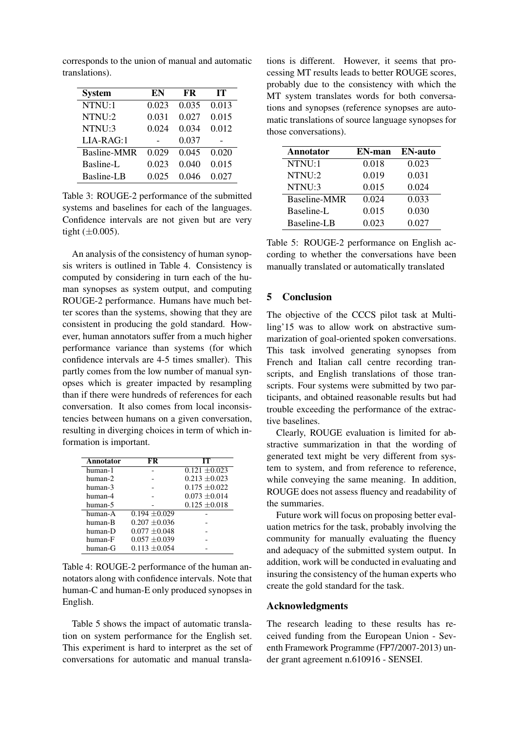corresponds to the union of manual and automatic translations).

| <b>System</b> | EN    | <b>FR</b> | IТ    |
|---------------|-------|-----------|-------|
| NTNU:1        | 0.023 | 0.035     | 0.013 |
| NTNU:2        | 0.031 | 0.027     | 0.015 |
| NTNU:3        | 0.024 | 0.034     | 0.012 |
| $LIA-RAG:1$   |       | 0.037     |       |
| Basline-MMR   | 0.029 | 0.045     | 0.020 |
| Basline-L     | 0.023 | 0.040     | 0.015 |
| Basline-LB    | 0.025 | 0.046     | 0.027 |

Table 3: ROUGE-2 performance of the submitted systems and baselines for each of the languages. Confidence intervals are not given but are very tight  $(\pm 0.005)$ .

An analysis of the consistency of human synopsis writers is outlined in Table 4. Consistency is computed by considering in turn each of the human synopses as system output, and computing ROUGE-2 performance. Humans have much better scores than the systems, showing that they are consistent in producing the gold standard. However, human annotators suffer from a much higher performance variance than systems (for which confidence intervals are 4-5 times smaller). This partly comes from the low number of manual synopses which is greater impacted by resampling than if there were hundreds of references for each conversation. It also comes from local inconsistencies between humans on a given conversation, resulting in diverging choices in term of which information is important.

| Annotator | FR                | IТ                |
|-----------|-------------------|-------------------|
| human-1   |                   | $0.121 \pm 0.023$ |
| human-2   |                   | $0.213 + 0.023$   |
| human-3   |                   | $0.175 \pm 0.022$ |
| human-4   |                   | $0.073 + 0.014$   |
| human-5   |                   | $0.125 + 0.018$   |
| human-A   | $0.194 \pm 0.029$ |                   |
| human-B   | $0.207 + 0.036$   |                   |
| human-D   | $0.077 + 0.048$   |                   |
| human-F   | $0.057 \pm 0.039$ |                   |
| human-G   | $0.113 + 0.054$   |                   |

Table 4: ROUGE-2 performance of the human annotators along with confidence intervals. Note that human-C and human-E only produced synopses in English.

Table 5 shows the impact of automatic translation on system performance for the English set. This experiment is hard to interpret as the set of conversations for automatic and manual transla-

tions is different. However, it seems that processing MT results leads to better ROUGE scores, probably due to the consistency with which the MT system translates words for both conversations and synopses (reference synopses are automatic translations of source language synopses for those conversations).

| Annotator    | EN-man | <b>EN-auto</b> |
|--------------|--------|----------------|
| NTNU:1       | 0.018  | 0.023          |
| NTNU:2       | 0.019  | 0.031          |
| NTNU:3       | 0.015  | 0.024          |
| Baseline-MMR | 0.024  | 0.033          |
| Baseline-L   | 0.015  | 0.030          |
| Baseline-LB  | 0.023  | 0.027          |

Table 5: ROUGE-2 performance on English according to whether the conversations have been manually translated or automatically translated

### 5 Conclusion

The objective of the CCCS pilot task at Multiling'15 was to allow work on abstractive summarization of goal-oriented spoken conversations. This task involved generating synopses from French and Italian call centre recording transcripts, and English translations of those transcripts. Four systems were submitted by two participants, and obtained reasonable results but had trouble exceeding the performance of the extractive baselines.

Clearly, ROUGE evaluation is limited for abstractive summarization in that the wording of generated text might be very different from system to system, and from reference to reference, while conveying the same meaning. In addition, ROUGE does not assess fluency and readability of the summaries.

Future work will focus on proposing better evaluation metrics for the task, probably involving the community for manually evaluating the fluency and adequacy of the submitted system output. In addition, work will be conducted in evaluating and insuring the consistency of the human experts who create the gold standard for the task.

### Acknowledgments

The research leading to these results has received funding from the European Union - Seventh Framework Programme (FP7/2007-2013) under grant agreement n.610916 - SENSEI.